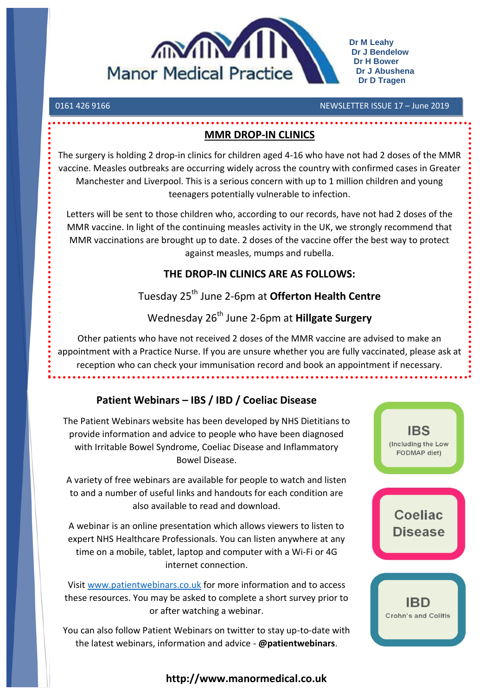

**Dr M Leahy Dr J Bendelow Dr H Bower Dr J Abushena Dr D Tragen**

0161 426 9166 NEWSLETTER ISSUE 17 – June 2019

### **MMR DROP-IN CLINICS**

The surgery is holding 2 drop-in clinics for children aged 4-16 who have not had 2 doses of the MMR vaccine. Measles outbreaks are occurring widely across the country with confirmed cases in Greater Manchester and Liverpool. This is a serious concern with up to 1 million children and young teenagers potentially vulnerable to infection.

Letters will be sent to those children who, according to our records, have not had 2 doses of the MMR vaccine. In light of the continuing measles activity in the UK, we strongly recommend that MMR vaccinations are brought up to date. 2 doses of the vaccine offer the best way to protect against measles, mumps and rubella.

# **THE DROP-IN CLINICS ARE AS FOLLOWS:**

# Tuesday 25th June 2-6pm at **Offerton Health Centre**

# Wednesday 26th June 2-6pm at **Hillgate Surgery**

Other patients who have not received 2 doses of the MMR vaccine are advised to make an appointment with a Practice Nurse. If you are unsure whether you are fully vaccinated, please ask at reception who can check your immunisation record and book an appointment if necessary.

# **Patient Webinars – IBS / IBD / Coeliac Disease**

The Patient Webinars website has been developed by NHS Dietitians to provide information and advice to people who have been diagnosed with Irritable Bowel Syndrome, Coeliac Disease and Inflammatory Bowel Disease. A variety of free webinars are available for people to watch and listen

to and a number of useful links and handouts for each condition are also available to read and download.

A webinar is an online presentation which allows viewers to listen to expert NHS Healthcare Professionals. You can listen anywhere at any time on a mobile, tablet, laptop and computer with a Wi-Fi or 4G internet connection.

Visit [www.patientwebinars.co.uk](http://www.patientwebinars.co.uk/) for more information and to access these resources. You may be asked to complete a short survey prior to or after watching a webinar.

You can also follow Patient Webinars on twitter to stay up-to-date with the latest webinars, information and advice - **@patientwebinars**.

# **IBS** (Including the Low FODMAP diet)

**Coeliac Disease** 

IBD **Crohn's and Colitis** 

### **http://www.manormedical.co.uk**